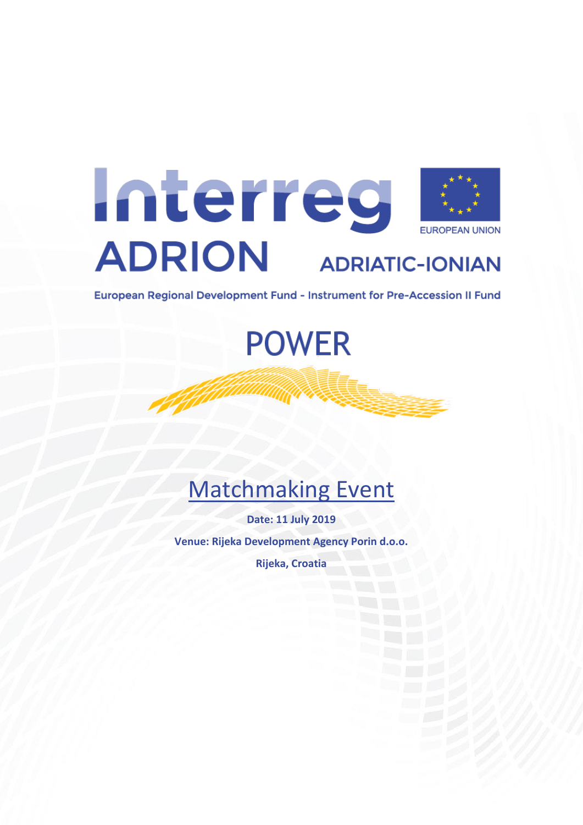

European Regional Development Fund - Instrument for Pre-Accession II Fund

**POWER** 

# Matchmaking Event

**Date: 11 July 2019 Venue: Rijeka Development Agency Porin d.o.o.**

**Rijeka, Croatia**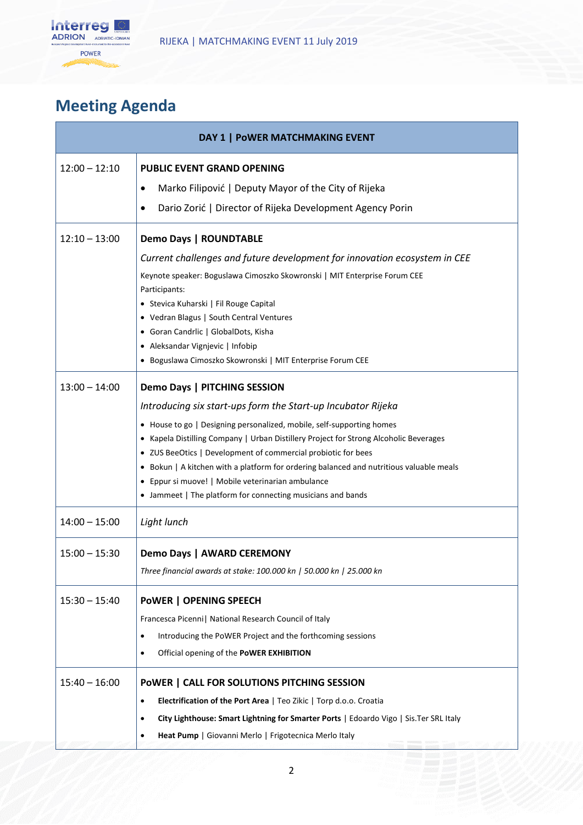

## **Meeting Agenda**

| DAY 1   POWER MATCHMAKING EVENT |                                                                                                                                                          |
|---------------------------------|----------------------------------------------------------------------------------------------------------------------------------------------------------|
| $12:00 - 12:10$                 | <b>PUBLIC EVENT GRAND OPENING</b>                                                                                                                        |
|                                 | Marko Filipović   Deputy Mayor of the City of Rijeka                                                                                                     |
|                                 | Dario Zorić   Director of Rijeka Development Agency Porin                                                                                                |
| $12:10 - 13:00$                 | <b>Demo Days   ROUNDTABLE</b>                                                                                                                            |
|                                 | Current challenges and future development for innovation ecosystem in CEE                                                                                |
|                                 | Keynote speaker: Boguslawa Cimoszko Skowronski   MIT Enterprise Forum CEE<br>Participants:                                                               |
|                                 | • Stevica Kuharski   Fil Rouge Capital                                                                                                                   |
|                                 | • Vedran Blagus   South Central Ventures                                                                                                                 |
|                                 | • Goran Candrlic   GlobalDots, Kisha                                                                                                                     |
|                                 | • Aleksandar Vignjevic   Infobip<br>· Boguslawa Cimoszko Skowronski   MIT Enterprise Forum CEE                                                           |
| $13:00 - 14:00$                 | Demo Days   PITCHING SESSION                                                                                                                             |
|                                 | Introducing six start-ups form the Start-up Incubator Rijeka                                                                                             |
|                                 | • House to go   Designing personalized, mobile, self-supporting homes                                                                                    |
|                                 | • Kapela Distilling Company   Urban Distillery Project for Strong Alcoholic Beverages                                                                    |
|                                 | • ZUS BeeOtics   Development of commercial probiotic for bees<br>• Bokun   A kitchen with a platform for ordering balanced and nutritious valuable meals |
|                                 | • Eppur si muove!   Mobile veterinarian ambulance                                                                                                        |
|                                 | • Jammeet   The platform for connecting musicians and bands                                                                                              |
| $14:00 - 15:00$                 | Light lunch                                                                                                                                              |
| $15:00 - 15:30$                 | Demo Days   AWARD CEREMONY                                                                                                                               |
|                                 | Three financial awards at stake: 100.000 kn   50.000 kn   25.000 kn                                                                                      |
| $15:30 - 15:40$                 | <b>POWER   OPENING SPEECH</b>                                                                                                                            |
|                                 | Francesca Picenni   National Research Council of Italy                                                                                                   |
|                                 | Introducing the PoWER Project and the forthcoming sessions<br>٠                                                                                          |
|                                 | Official opening of the PoWER EXHIBITION                                                                                                                 |
| $15:40 - 16:00$                 | POWER   CALL FOR SOLUTIONS PITCHING SESSION                                                                                                              |
|                                 | Electrification of the Port Area   Teo Zikic   Torp d.o.o. Croatia<br>$\bullet$                                                                          |
|                                 | City Lighthouse: Smart Lightning for Smarter Ports   Edoardo Vigo   Sis. Ter SRL Italy                                                                   |
|                                 | Heat Pump   Giovanni Merlo   Frigotecnica Merlo Italy                                                                                                    |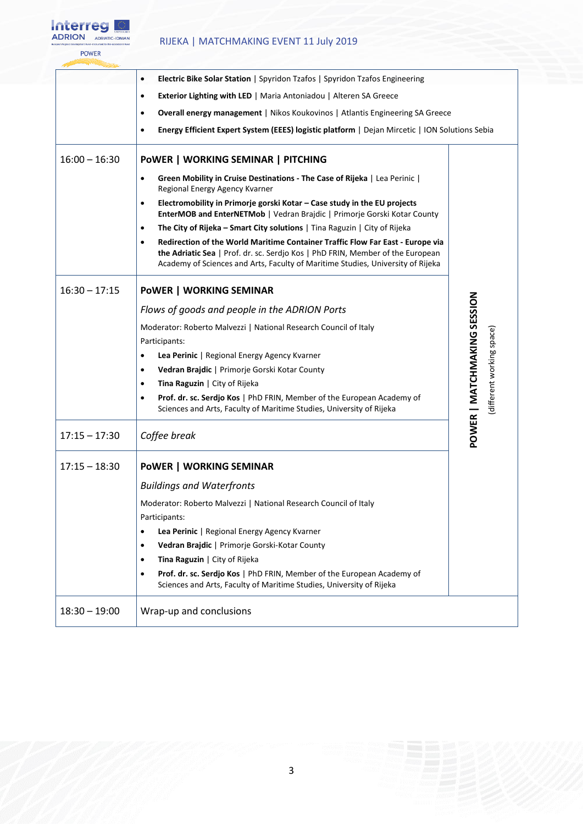

### RIJEKA | MATCHMAKING EVENT 11 July 2019

| Energy Efficient Expert System (EEES) logistic platform   Dejan Mircetic   ION Solutions Sebia |
|------------------------------------------------------------------------------------------------|
|                                                                                                |
|                                                                                                |
|                                                                                                |
|                                                                                                |
|                                                                                                |
|                                                                                                |
|                                                                                                |
|                                                                                                |
|                                                                                                |
|                                                                                                |
|                                                                                                |
|                                                                                                |
| (different working space)                                                                      |
| POWER   MATCHMAKING SESSION                                                                    |
|                                                                                                |
|                                                                                                |
|                                                                                                |
|                                                                                                |
|                                                                                                |
|                                                                                                |
|                                                                                                |
|                                                                                                |
|                                                                                                |
|                                                                                                |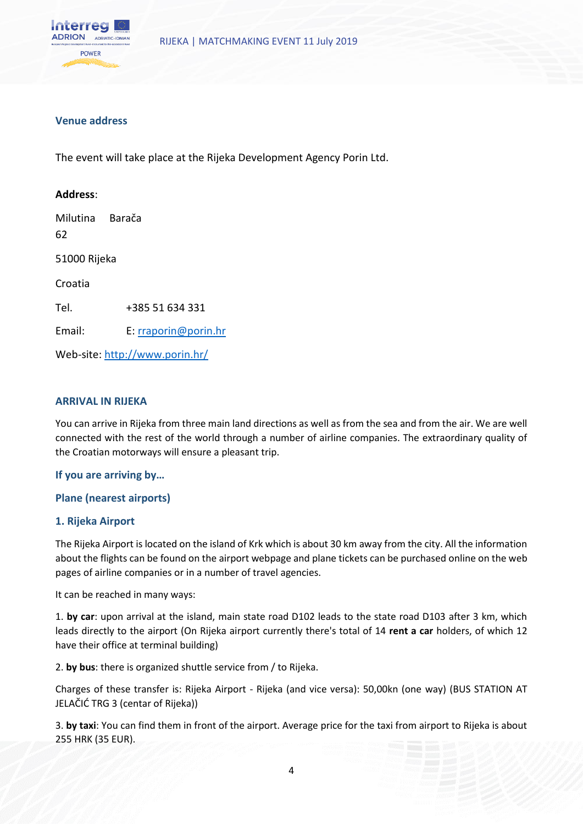

#### **Venue address**

The event will take place at the Rijeka Development Agency Porin Ltd.

## **Address**: Milutina Barača 62 51000 Rijeka Croatia Tel. +385 51 634 331 Email: E: [rraporin@porin.hr](mailto:rraporin@porin.hr) Web-site[: http://www.porin.hr/](http://www.porin.hr/)

#### **ARRIVAL IN RIJEKA**

You can arrive in Rijeka from three main land directions as well as from the sea and from the air. We are well connected with the rest of the world through a number of airline companies. The extraordinary quality of the Croatian motorways will ensure a pleasant trip.

#### **If you are arriving by…**

#### **Plane (nearest airports)**

#### **1. Rijeka Airport**

The Rijeka Airport is located on the island of Krk which is about 30 km away from the city. All the information about the flights can be found on the airport webpage and plane tickets can be purchased online on the web pages of airline companies or in a number of travel agencies.

It can be reached in many ways:

1. **by car**: upon arrival at the island, main state road D102 leads to the state road D103 after 3 km, which leads directly to the airport (On Rijeka airport currently there's total of 14 **rent a car** holders, of which 12 have their office at terminal building)

2. **by bus**: there is organized shuttle service from / to Rijeka.

Charges of these transfer is: Rijeka Airport - Rijeka (and vice versa): 50,00kn (one way) (BUS STATION AT JELAČIĆ TRG 3 (centar of Rijeka))

3. **by taxi**: You can find them in front of the airport. Average price for the taxi from airport to Rijeka is about 255 HRK (35 EUR).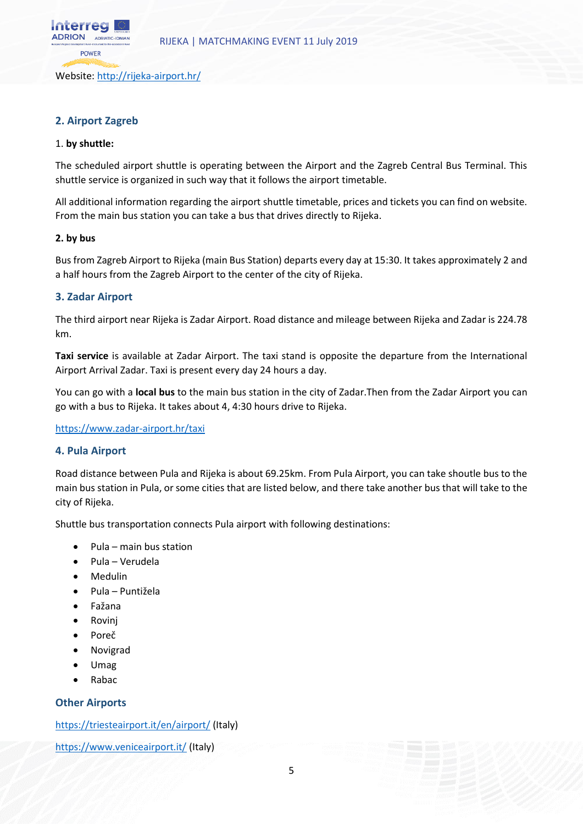Website:<http://rijeka-airport.hr/>

#### **2. Airport Zagreb**

#### 1. **by shuttle:**

nterreg ADRION ADRIATIC-IONIAL **POWER** 

The scheduled airport shuttle is operating between the Airport and the Zagreb Central Bus Terminal. This shuttle service is organized in such way that it follows the airport timetable.

All additional information regarding the airport shuttle timetable, prices and tickets you can find on website. From the main bus station you can take a bus that drives directly to Rijeka.

#### **2. by bus**

Bus from Zagreb Airport to Rijeka (main Bus Station) departs every day at 15:30. It takes approximately 2 and a half hours from the Zagreb Airport to the center of the city of Rijeka.

#### **3. Zadar Airport**

The third airport near Rijeka is Zadar Airport. Road distance and mileage between Rijeka and Zadar is 224.78 km.

**Taxi service** is available at Zadar Airport. The taxi stand is opposite the departure from the International Airport Arrival Zadar. Taxi is present every day 24 hours a day.

You can go with a **local bus** to the main bus station in the city of Zadar.Then from the Zadar Airport you can go with a bus to Rijeka. It takes about 4, 4:30 hours drive to Rijeka.

<https://www.zadar-airport.hr/taxi>

#### **4. Pula Airport**

Road distance between Pula and Rijeka is about 69.25km. From Pula Airport, you can take shoutle bus to the main bus station in Pula, or some cities that are listed below, and there take another bus that will take to the city of Rijeka.

Shuttle bus transportation connects Pula airport with following destinations:

- Pula main bus station
- Pula Verudela
- Medulin
- Pula Puntižela
- Fažana
- Rovinj
- Poreč
- Novigrad
- Umag
- Rabac

#### **Other Airports**

<https://triesteairport.it/en/airport/> (Italy)

<https://www.veniceairport.it/> (Italy)

5